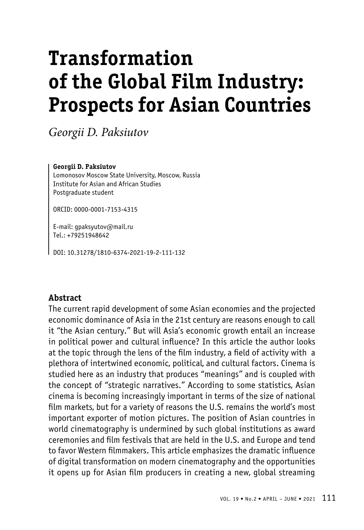# **Transformation of the Global Film Industry: Prospects for Asian Countries**

*Georgii D. Paksiutov*

#### **Georgii D. Paksiutov**

Lomonosov Moscow State University, Moscow, Russia Institute for Asian and African Studies Postgraduate student

ORCID: 0000-0001-7153-4315

E-mail: gpaksyutov@mail.ru Tel.: +79251948642

DOI: 10.31278/1810-6374-2021-19-2-111-132

### **Abstract**

The current rapid development of some Asian economies and the projected economic dominance of Asia in the 21st century are reasons enough to call it "the Asian century." But will Asia's economic growth entail an increase in political power and cultural influence? In this article the author looks at the topic through the lens of the film industry, a field of activity with a plethora of intertwined economic, political, and cultural factors. Cinema is studied here as an industry that produces "meanings" and is coupled with the concept of "strategic narratives." According to some statistics, Asian cinema is becoming increasingly important in terms of the size of national film markets, but for a variety of reasons the U.S. remains the world's most important exporter of motion pictures. The position of Asian countries in world cinematography is undermined by such global institutions as award ceremonies and film festivals that are held in the U.S. and Europe and tend to favor Western filmmakers. This article emphasizes the dramatic influence of digital transformation on modern cinematography and the opportunities it opens up for Asian film producers in creating a new, global streaming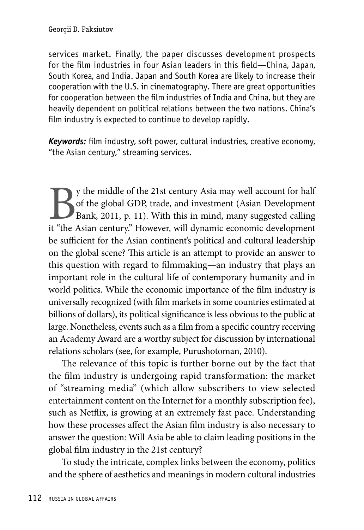services market. Finally, the paper discusses development prospects for the film industries in four Asian leaders in this field—China, Japan, South Korea, and India. Japan and South Korea are likely to increase their cooperation with the U.S. in cinematography. There are great opportunities for cooperation between the film industries of India and China, but they are heavily dependent on political relations between the two nations. China's film industry is expected to continue to develop rapidly.

*Keywords:* film industry, soft power, cultural industries, creative economy, "the Asian century," streaming services.

By the middle of the 21st century Asia may well account for half of the global GDP, trade, and investment (Asian Development Bank, 2011, p. 11). With this in mind, many suggested calling it "the Asian century." However, wi of the global GDP, trade, and investment (Asian Development Bank, 2011, p. 11). With this in mind, many suggested calling it "the Asian century." However, will dynamic economic development be sufficient for the Asian continent's political and cultural leadership on the global scene? This article is an attempt to provide an answer to this question with regard to filmmaking—an industry that plays an important role in the cultural life of contemporary humanity and in world politics. While the economic importance of the film industry is universally recognized (with film markets in some countries estimated at billions of dollars), its political significance is less obvious to the public at large. Nonetheless, events such as a film from a specific country receiving an Academy Award are a worthy subject for discussion by international relations scholars (see, for example, Purushotoman, 2010).

The relevance of this topic is further borne out by the fact that the film industry is undergoing rapid transformation: the market of "streaming media" (which allow subscribers to view selected entertainment content on the Internet for a monthly subscription fee), such as Netflix, is growing at an extremely fast pace. Understanding how these processes affect the Asian film industry is also necessary to answer the question: Will Asia be able to claim leading positions in the global film industry in the 21st century?

To study the intricate, complex links between the economy, politics and the sphere of aesthetics and meanings in modern cultural industries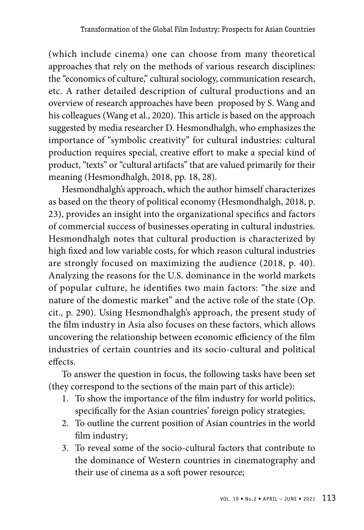(which include cinema) one can choose from many theoretical approaches that rely on the methods of various research disciplines: the "economics of culture," cultural sociology, communication research, etc. A rather detailed description of cultural productions and an overview of research approaches have been proposed by S. Wang and his colleagues (Wang et al., 2020). This article is based on the approach suggested by media researcher D. Hesmondhalgh, who emphasizes the importance of "symbolic creativity" for cultural industries: cultural production requires special, creative effort to make a special kind of product, "texts" or "cultural artifacts" that are valued primarily for their meaning (Hesmondhalgh, 2018, pp. 18, 28).

Hesmondhalgh's approach, which the author himself characterizes as based on the theory of political economy (Hesmondhalgh, 2018, p. 23), provides an insight into the organizational specifics and factors of commercial success of businesses operating in cultural industries. Hesmondhalgh notes that cultural production is characterized by high fixed and low variable costs, for which reason cultural industries are strongly focused on maximizing the audience (2018, p. 40). Analyzing the reasons for the U.S. dominance in the world markets of popular culture, he identifies two main factors: "the size and nature of the domestic market" and the active role of the state (Op. cit., p. 290). Using Hesmondhalgh's approach, the present study of the film industry in Asia also focuses on these factors, which allows uncovering the relationship between economic efficiency of the film industries of certain countries and its socio-cultural and political effects.

To answer the question in focus, the following tasks have been set (they correspond to the sections of the main part of this article):

- 1. To show the importance of the film industry for world politics, specifically for the Asian countries' foreign policy strategies;
- 2. To outline the current position of Asian countries in the world film industry;
- 3. To reveal some of the socio-cultural factors that contribute to the dominance of Western countries in cinematography and their use of cinema as a soft power resource;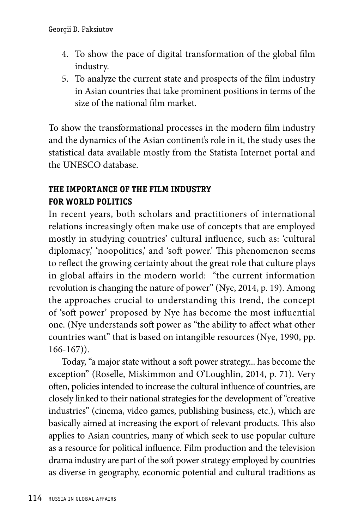- 4. To show the pace of digital transformation of the global film industry.
- 5. To analyze the current state and prospects of the film industry in Asian countries that take prominent positions in terms of the size of the national film market.

To show the transformational processes in the modern film industry and the dynamics of the Asian continent's role in it, the study uses the statistical data available mostly from the Statista Internet portal and the UNESCO database.

# **THE IMPORTANCE OF THE FILM INDUSTRY FOR WORLD POLITICS**

In recent years, both scholars and practitioners of international relations increasingly often make use of concepts that are employed mostly in studying countries' cultural influence, such as: 'cultural diplomacy, 'noopolitics,' and 'soft power.' This phenomenon seems to reflect the growing certainty about the great role that culture plays in global affairs in the modern world: "the current information revolution is changing the nature of power" (Nye, 2014, p. 19). Among the approaches crucial to understanding this trend, the concept of 'soft power' proposed by Nye has become the most influential one. (Nye understands soft power as "the ability to affect what other countries want" that is based on intangible resources (Nye, 1990, pp. 166-167)).

Today, "a major state without a soft power strategy... has become the exception" (Roselle, Miskimmon and O'Loughlin, 2014, p. 71). Very often, policies intended to increase the cultural influence of countries, are closely linked to their national strategies for the development of "creative industries" (cinema, video games, publishing business, etc.), which are basically aimed at increasing the export of relevant products. This also applies to Asian countries, many of which seek to use popular culture as a resource for political influence. Film production and the television drama industry are part of the soft power strategy employed by countries as diverse in geography, economic potential and cultural traditions as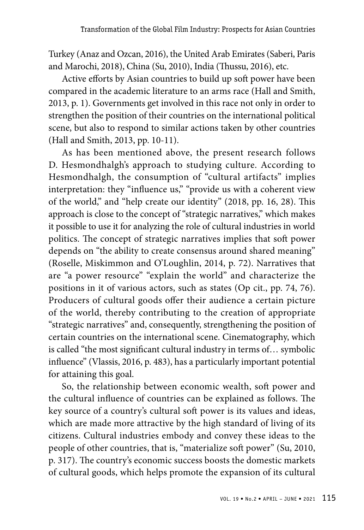Turkey (Anaz and Ozcan, 2016), the United Arab Emirates (Saberi, Paris and Marochi, 2018), China (Su, 2010), India (Thussu, 2016), etc.

Active efforts by Asian countries to build up soft power have been compared in the academic literature to an arms race (Hall and Smith, 2013, p. 1). Governments get involved in this race not only in order to strengthen the position of their countries on the international political scene, but also to respond to similar actions taken by other countries (Hall and Smith, 2013, pp. 10-11).

As has been mentioned above, the present research follows D. Hesmondhalgh's approach to studying culture. According to Hesmondhalgh, the consumption of "cultural artifacts" implies interpretation: they "influence us," "provide us with a coherent view of the world," and "help create our identity" (2018, pp. 16, 28). This approach is close to the concept of "strategic narratives," which makes it possible to use it for analyzing the role of cultural industries in world politics. The concept of strategic narratives implies that soft power depends on "the ability to create consensus around shared meaning" (Roselle, Miskimmon and O'Loughlin, 2014, p. 72). Narratives that are "a power resource" "explain the world" and characterize the positions in it of various actors, such as states (Op cit., pp. 74, 76). Producers of cultural goods offer their audience a certain picture of the world, thereby contributing to the creation of appropriate "strategic narratives" and, consequently, strengthening the position of certain countries on the international scene. Cinematography, which is called "the most significant cultural industry in terms of… symbolic influence" (Vlassis, 2016, p. 483), has a particularly important potential for attaining this goal.

So, the relationship between economic wealth, soft power and the cultural influence of countries can be explained as follows. The key source of a country's cultural soft power is its values and ideas, which are made more attractive by the high standard of living of its citizens. Cultural industries embody and convey these ideas to the people of other countries, that is, "materialize soft power" (Su, 2010, p. 317). The country's economic success boosts the domestic markets of cultural goods, which helps promote the expansion of its cultural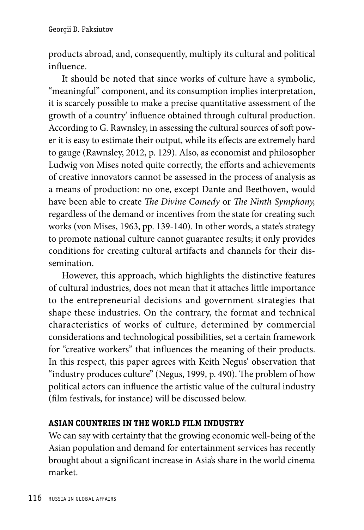products abroad, and, consequently, multiply its cultural and political influence.

It should be noted that since works of culture have a symbolic, "meaningful" component, and its consumption implies interpretation, it is scarcely possible to make a precise quantitative assessment of the growth of a country' influence obtained through cultural production. According to G. Rawnsley, in assessing the cultural sources of soft power it is easy to estimate their output, while its effects are extremely hard to gauge (Rawnsley, 2012, p. 129). Also, as economist and philosopher Ludwig von Mises noted quite correctly, the efforts and achievements of creative innovators cannot be assessed in the process of analysis as a means of production: no one, except Dante and Beethoven, would have been able to create *The Divine Comedy* or *The Ninth Symphony,* regardless of the demand or incentives from the state for creating such works (von Mises, 1963, pp. 139-140). In other words, a state's strategy to promote national culture cannot guarantee results; it only provides conditions for creating cultural artifacts and channels for their dissemination.

However, this approach, which highlights the distinctive features of cultural industries, does not mean that it attaches little importance to the entrepreneurial decisions and government strategies that shape these industries. On the contrary, the format and technical characteristics of works of culture, determined by commercial considerations and technological possibilities, set a certain framework for "creative workers" that influences the meaning of their products. In this respect, this paper agrees with Keith Negus' observation that "industry produces culture" (Negus, 1999, p. 490). The problem of how political actors can influence the artistic value of the cultural industry (film festivals, for instance) will be discussed below.

# **ASIAN COUNTRIES IN the WORLD FILM INDUSTRY**

We can say with certainty that the growing economic well-being of the Asian population and demand for entertainment services has recently brought about a significant increase in Asia's share in the world cinema market.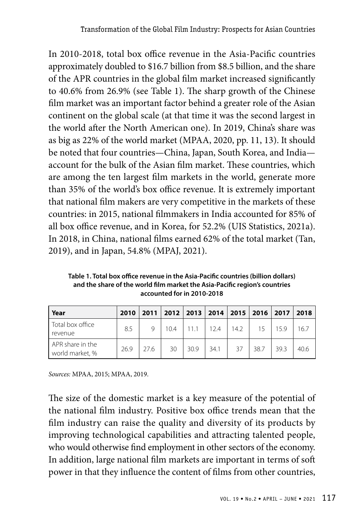In 2010-2018, total box office revenue in the Asia-Pacific countries approximately doubled to \$16.7 billion from \$8.5 billion, and the share of the APR countries in the global film market increased significantly to 40.6% from 26.9% (see Table 1). The sharp growth of the Chinese film market was an important factor behind a greater role of the Asian continent on the global scale (at that time it was the second largest in the world after the North American one). In 2019, China's share was as big as 22% of the world market (MPAA, 2020, pp. 11, 13). It should be noted that four countries—China, Japan, South Korea, and India account for the bulk of the Asian film market. These countries, which are among the ten largest film markets in the world, generate more than 35% of the world's box office revenue. It is extremely important that national film makers are very competitive in the markets of these countries: in 2015, national filmmakers in India accounted for 85% of all box office revenue, and in Korea, for 52.2% (UIS Statistics, 2021a). In 2018, in China, national films earned 62% of the total market (Tan, 2019), and in Japan, 54.8% (MPAJ, 2021).

**Table 1. Total box office revenue in the Asia-Pacific countries (billion dollars) and the share of the world film market the Asia-Pacific region's countries accounted for in 2010-2018**

| Year                                | 2010 |      |      |      |      |      |      | 2011   2012   2013   2014   2015   2016   2017   2018 |      |
|-------------------------------------|------|------|------|------|------|------|------|-------------------------------------------------------|------|
| Total box office<br>revenue         | 8.5  |      | 10.4 |      | 12.4 | 14.2 |      | 159                                                   | 16.7 |
| APR share in the<br>world market, % | 26.9 | 27.6 | 30   | 30.9 | 34.1 | 37   | 38.7 | 39.3                                                  | 40.6 |

*Sources:* MPAA, 2015; MPAA, 2019.

The size of the domestic market is a key measure of the potential of the national film industry. Positive box office trends mean that the film industry can raise the quality and diversity of its products by improving technological capabilities and attracting talented people, who would otherwise find employment in other sectors of the economy. In addition, large national film markets are important in terms of soft power in that they influence the content of films from other countries,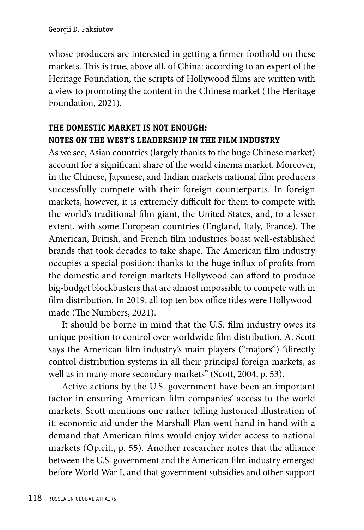whose producers are interested in getting a firmer foothold on these markets. This is true, above all, of China: according to an expert of the Heritage Foundation, the scripts of Hollywood films are written with a view to promoting the content in the Chinese market (The Heritage Foundation, 2021).

# **the DOMESTIC MARKET IS NOT ENOUGH: NOTES ON THE WEST'S LEADERSHIP IN THE FILM INDUSTRY**

As we see, Asian countries (largely thanks to the huge Chinese market) account for a significant share of the world cinema market. Moreover, in the Chinese, Japanese, and Indian markets national film producers successfully compete with their foreign counterparts. In foreign markets, however, it is extremely difficult for them to compete with the world's traditional film giant, the United States, and, to a lesser extent, with some European countries (England, Italy, France). The American, British, and French film industries boast well-established brands that took decades to take shape. The American film industry occupies a special position: thanks to the huge influx of profits from the domestic and foreign markets Hollywood can afford to produce big-budget blockbusters that are almost impossible to compete with in film distribution. In 2019, all top ten box office titles were Hollywoodmade (The Numbers, 2021).

It should be borne in mind that the U.S. film industry owes its unique position to control over worldwide film distribution. A. Scott says the American film industry's main players ("majors") "directly control distribution systems in all their principal foreign markets, as well as in many more secondary markets" (Scott, 2004, p. 53).

Active actions by the U.S. government have been an important factor in ensuring American film companies' access to the world markets. Scott mentions one rather telling historical illustration of it: economic aid under the Marshall Plan went hand in hand with a demand that American films would enjoy wider access to national markets (Op.cit., p. 55). Another researcher notes that the alliance between the U.S. government and the American film industry emerged before World War I, and that government subsidies and other support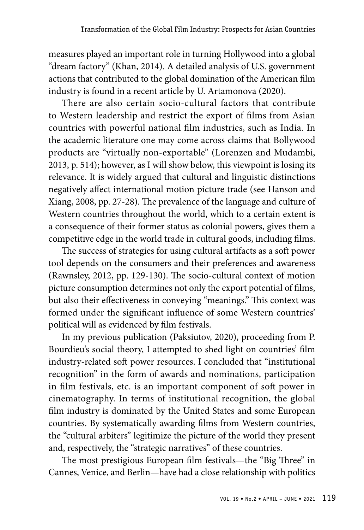measures played an important role in turning Hollywood into a global "dream factory" (Khan, 2014). A detailed analysis of U.S. government actions that contributed to the global domination of the American film industry is found in a recent article by U. Artamonova (2020).

There are also certain socio-cultural factors that contribute to Western leadership and restrict the export of films from Asian countries with powerful national film industries, such as India. In the academic literature one may come across claims that Bollywood products are "virtually non-exportable" (Lorenzen and Mudambi, 2013, p. 514); however, as I will show below, this viewpoint is losing its relevance. It is widely argued that cultural and linguistic distinctions negatively affect international motion picture trade (see Hanson and Xiang, 2008, pp. 27-28). The prevalence of the language and culture of Western countries throughout the world, which to a certain extent is a consequence of their former status as colonial powers, gives them a competitive edge in the world trade in cultural goods, including films.

The success of strategies for using cultural artifacts as a soft power tool depends on the consumers and their preferences and awareness (Rawnsley, 2012, pp. 129-130). The socio-cultural context of motion picture consumption determines not only the export potential of films, but also their effectiveness in conveying "meanings." This context was formed under the significant influence of some Western countries' political will as evidenced by film festivals.

In my previous publication (Paksiutov, 2020), proceeding from P. Bourdieu's social theory, I attempted to shed light on countries' film industry-related soft power resources. I concluded that "institutional recognition" in the form of awards and nominations, participation in film festivals, etc. is an important component of soft power in cinematography. In terms of institutional recognition, the global film industry is dominated by the United States and some European countries. By systematically awarding films from Western countries, the "cultural arbiters" legitimize the picture of the world they present and, respectively, the "strategic narratives" of these countries.

The most prestigious European film festivals—the "Big Three" in Cannes, Venice, and Berlin—have had a close relationship with politics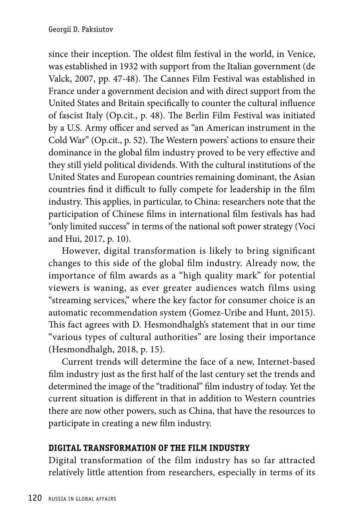since their inception. The oldest film festival in the world, in Venice, was established in 1932 with support from the Italian government (de Valck, 2007, pp. 47-48). The Cannes Film Festival was established in France under a government decision and with direct support from the United States and Britain specifically to counter the cultural influence of fascist Italy (Op.cit., p. 48). The Berlin Film Festival was initiated by a U.S. Army officer and served as "an American instrument in the Cold War" (Op.cit., p. 52). The Western powers' actions to ensure their dominance in the global film industry proved to be very effective and they still yield political dividends. With the cultural institutions of the United States and European countries remaining dominant, the Asian countries find it difficult to fully compete for leadership in the film industry. This applies, in particular, to China: researchers note that the participation of Chinese films in international film festivals has had "only limited success" in terms of the national soft power strategy (Voci and Hui, 2017, p. 10).

However, digital transformation is likely to bring significant changes to this side of the global film industry. Already now, the importance of film awards as a "high quality mark" for potential viewers is waning, as ever greater audiences watch films using "streaming services," where the key factor for consumer choice is an automatic recommendation system (Gomez-Uribe and Hunt, 2015). This fact agrees with D. Hesmondhalgh's statement that in our time "various types of cultural authorities" are losing their importance (Hesmondhalgh, 2018, p. 15).

Current trends will determine the face of a new, Internet-based film industry just as the first half of the last century set the trends and determined the image of the "traditional" film industry of today. Yet the current situation is different in that in addition to Western countries there are now other powers, such as China, that have the resources to participate in creating a new film industry.

# **DIGITAL TRANSFORMATION OF THE FILM INDUSTRY**

Digital transformation of the film industry has so far attracted relatively little attention from researchers, especially in terms of its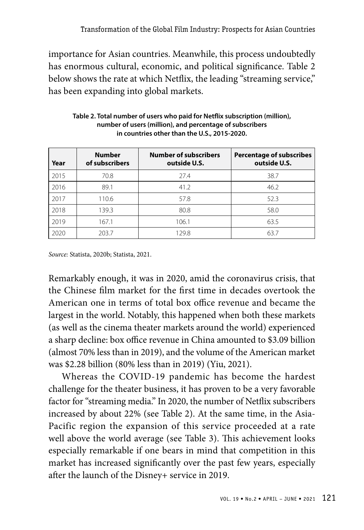importance for Asian countries. Meanwhile, this process undoubtedly has enormous cultural, economic, and political significance. Table 2 below shows the rate at which Netflix, the leading "streaming service," has been expanding into global markets.

| Year | <b>Number</b><br>of subscribers | <b>Number of subscribers</b><br>outside U.S. | <b>Percentage of subscribes</b><br>outside U.S. |
|------|---------------------------------|----------------------------------------------|-------------------------------------------------|
| 2015 | 70.8                            | 27.4                                         | 38.7                                            |
| 2016 | 89.1                            | 41.2                                         | 46.2                                            |
| 2017 | 110.6                           | 57.8                                         | 52.3                                            |
| 2018 | 139.3                           | 80.8                                         | 58.0                                            |
| 2019 | 167.1                           | 106.1                                        | 63.5                                            |
| 2020 | 203.7                           | 129.8                                        | 63.7                                            |

**Table 2. Total number of users who paid for Netflix subscription (million), number of users (million), and percentage of subscribers in countries other than the U.S., 2015-2020.**

*Source:* Statista, 2020b; Statista, 2021.

Remarkably enough, it was in 2020, amid the coronavirus crisis, that the Chinese film market for the first time in decades overtook the American one in terms of total box office revenue and became the largest in the world. Notably, this happened when both these markets (as well as the cinema theater markets around the world) experienced a sharp decline: box office revenue in China amounted to \$3.09 billion (almost 70% less than in 2019), and the volume of the American market was \$2.28 billion (80% less than in 2019) (Yiu, 2021).

Whereas the COVID-19 pandemic has become the hardest challenge for the theater business, it has proven to be a very favorable factor for "streaming media." In 2020, the number of Netflix subscribers increased by about 22% (see Table 2). At the same time, in the Asia-Pacific region the expansion of this service proceeded at a rate well above the world average (see Table 3). This achievement looks especially remarkable if one bears in mind that competition in this market has increased significantly over the past few years, especially after the launch of the Disney+ service in 2019.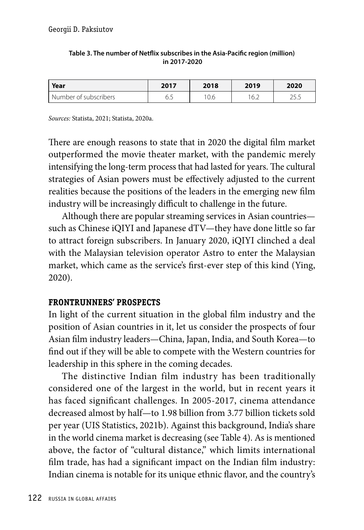| Year                  | 2017                  | 2018 | 2019  | 2020          |
|-----------------------|-----------------------|------|-------|---------------|
| Number of subscribers | $\overline{a}$<br>◡.◡ | '0.6 | ' ∪.∠ | ח חר<br>ر. رے |

#### **Table 3. The number of Netflix subscribes in the Asia-Pacific region (million) in 2017-2020**

*Sources:* Statista, 2021; Statista, 2020a.

There are enough reasons to state that in 2020 the digital film market outperformed the movie theater market, with the pandemic merely intensifying the long-term process that had lasted for years. The cultural strategies of Asian powers must be effectively adjusted to the current realities because the positions of the leaders in the emerging new film industry will be increasingly difficult to challenge in the future.

Although there are popular streaming services in Asian countries such as Chinese iQIYI and Japanese dTV—they have done little so far to attract foreign subscribers. In January 2020, iQIYI clinched a deal with the Malaysian television operator Astro to enter the Malaysian market, which came as the service's first-ever step of this kind (Ying, 2020).

## **FRONTRUNNERS' PROSPECTS**

In light of the current situation in the global film industry and the position of Asian countries in it, let us consider the prospects of four Asian film industry leaders—China, Japan, India, and South Korea—to find out if they will be able to compete with the Western countries for leadership in this sphere in the coming decades.

The distinctive Indian film industry has been traditionally considered one of the largest in the world, but in recent years it has faced significant challenges. In 2005-2017, cinema attendance decreased almost by half—to 1.98 billion from 3.77 billion tickets sold per year (UIS Statistics, 2021b). Against this background, India's share in the world cinema market is decreasing (see Table 4). As is mentioned above, the factor of "cultural distance," which limits international film trade, has had a significant impact on the Indian film industry: Indian cinema is notable for its unique ethnic flavor, and the country's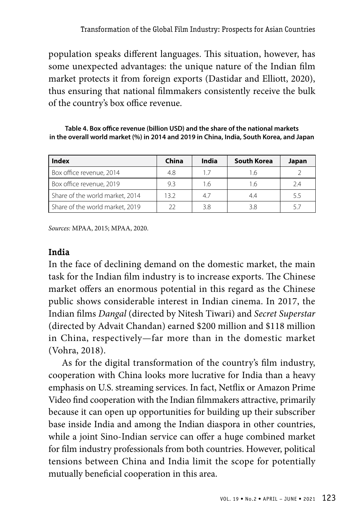population speaks different languages. This situation, however, has some unexpected advantages: the unique nature of the Indian film market protects it from foreign exports (Dastidar and Elliott, 2020), thus ensuring that national filmmakers consistently receive the bulk of the country's box office revenue.

**Table 4. Box office revenue (billion USD) and the share of the national markets in the overall world market (%) in 2014 and 2019 in China, India, South Korea, and Japan**

| Index                           | China | India | <b>South Korea</b> | Japan |
|---------------------------------|-------|-------|--------------------|-------|
| Box office revenue, 2014        | 4.8   | 17    |                    |       |
| Box office revenue, 2019        | 9.3   | 1.6   |                    | 2.4   |
| Share of the world market, 2014 | 132   | 47    |                    | 5.5   |
| Share of the world market, 2019 | つつ    | 38    |                    |       |

*Sources:* MPAA, 2015; MPAA, 2020.

## **India**

In the face of declining demand on the domestic market, the main task for the Indian film industry is to increase exports. The Chinese market offers an enormous potential in this regard as the Chinese public shows considerable interest in Indian cinema. In 2017, the Indian films *Dangal* (directed by Nitesh Tiwari) and *Secret Superstar* (directed by Advait Chandan) earned \$200 million and \$118 million in China, respectively—far more than in the domestic market (Vohra, 2018).

As for the digital transformation of the country's film industry, cooperation with China looks more lucrative for India than a heavy emphasis on U.S. streaming services. In fact, Netflix or Amazon Prime Video find cooperation with the Indian filmmakers attractive, primarily because it can open up opportunities for building up their subscriber base inside India and among the Indian diaspora in other countries, while a joint Sino-Indian service can offer a huge combined market for film industry professionals from both countries. However, political tensions between China and India limit the scope for potentially mutually beneficial cooperation in this area.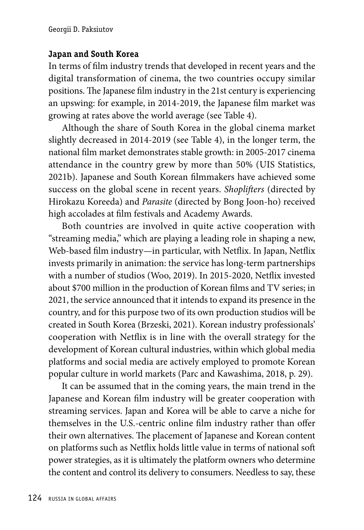## **Japan and South Korea**

In terms of film industry trends that developed in recent years and the digital transformation of cinema, the two countries occupy similar positions. The Japanese film industry in the 21st century is experiencing an upswing: for example, in 2014-2019, the Japanese film market was growing at rates above the world average (see Table 4).

Although the share of South Korea in the global cinema market slightly decreased in 2014-2019 (see Table 4), in the longer term, the national film market demonstrates stable growth: in 2005-2017 cinema attendance in the country grew by more than 50% (UIS Statistics, 2021b). Japanese and South Korean filmmakers have achieved some success on the global scene in recent years. *Shoplifters* (directed by Hirokazu Koreeda) and *Parasite* (directed by Bong Joon-ho) received high accolades at film festivals and Academy Awards.

Both countries are involved in quite active cooperation with "streaming media," which are playing a leading role in shaping a new, Web-based film industry—in particular, with Netflix. In Japan, Netflix invests primarily in animation: the service has long-term partnerships with a number of studios (Woo, 2019). In 2015-2020, Netflix invested about \$700 million in the production of Korean films and TV series; in 2021, the service announced that it intends to expand its presence in the country, and for this purpose two of its own production studios will be created in South Korea (Brzeski, 2021). Korean industry professionals' cooperation with Netflix is in line with the overall strategy for the development of Korean cultural industries, within which global media platforms and social media are actively employed to promote Korean popular culture in world markets (Parc and Kawashima, 2018, p. 29).

It can be assumed that in the coming years, the main trend in the Japanese and Korean film industry will be greater cooperation with streaming services. Japan and Korea will be able to carve a niche for themselves in the U.S.-centric online film industry rather than offer their own alternatives. The placement of Japanese and Korean content on platforms such as Netflix holds little value in terms of national soft power strategies, as it is ultimately the platform owners who determine the content and control its delivery to consumers. Needless to say, these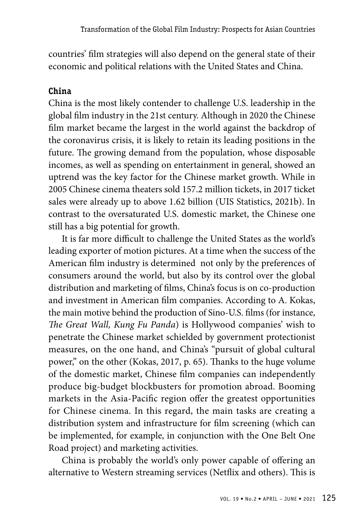countries' film strategies will also depend on the general state of their economic and political relations with the United States and China.

## **China**

China is the most likely contender to challenge U.S. leadership in the global film industry in the 21st century. Although in 2020 the Chinese film market became the largest in the world against the backdrop of the coronavirus crisis, it is likely to retain its leading positions in the future. The growing demand from the population, whose disposable incomes, as well as spending on entertainment in general, showed an uptrend was the key factor for the Chinese market growth. While in 2005 Chinese cinema theaters sold 157.2 million tickets, in 2017 ticket sales were already up to above 1.62 billion (UIS Statistics, 2021b). In contrast to the oversaturated U.S. domestic market, the Chinese one still has a big potential for growth.

It is far more difficult to challenge the United States as the world's leading exporter of motion pictures. At a time when the success of the American film industry is determined not only by the preferences of consumers around the world, but also by its control over the global distribution and marketing of films, China's focus is on co-production and investment in American film companies. According to A. Kokas, the main motive behind the production of Sino-U.S. films (for instance, *The Great Wall, Kung Fu Panda*) is Hollywood companies' wish to penetrate the Chinese market schielded by government protectionist measures, on the one hand, and China's "pursuit of global cultural power," on the other (Kokas, 2017, p. 65). Thanks to the huge volume of the domestic market, Chinese film companies can independently produce big-budget blockbusters for promotion abroad. Booming markets in the Asia-Pacific region offer the greatest opportunities for Chinese cinema. In this regard, the main tasks are creating a distribution system and infrastructure for film screening (which can be implemented, for example, in conjunction with the One Belt One Road project) and marketing activities.

China is probably the world's only power capable of offering an alternative to Western streaming services (Netflix and others). This is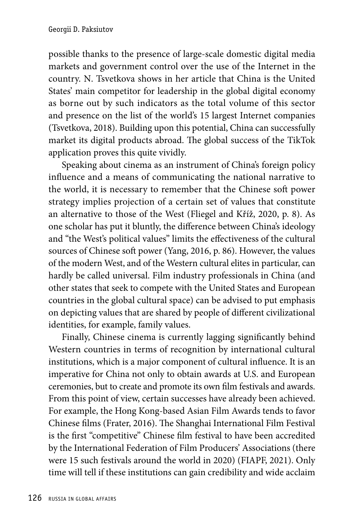possible thanks to the presence of large-scale domestic digital media markets and government control over the use of the Internet in the country. N. Tsvetkova shows in her article that China is the United States' main competitor for leadership in the global digital economy as borne out by such indicators as the total volume of this sector and presence on the list of the world's 15 largest Internet companies (Tsvetkova, 2018). Building upon this potential, China can successfully market its digital products abroad. The global success of the TikTok application proves this quite vividly.

Speaking about cinema as an instrument of China's foreign policy influence and a means of communicating the national narrative to the world, it is necessary to remember that the Chinese soft power strategy implies projection of a certain set of values that constitute an alternative to those of the West (Fliegel and Kříž, 2020, p. 8). As one scholar has put it bluntly, the difference between China's ideology and "the West's political values" limits the effectiveness of the cultural sources of Chinese soft power (Yang, 2016, p. 86). However, the values of the modern West, and of the Western cultural elites in particular, can hardly be called universal. Film industry professionals in China (and other states that seek to compete with the United States and European countries in the global cultural space) can be advised to put emphasis on depicting values that are shared by people of different civilizational identities, for example, family values.

Finally, Chinese cinema is currently lagging significantly behind Western countries in terms of recognition by international cultural institutions, which is a major component of cultural influence. It is an imperative for China not only to obtain awards at U.S. and European ceremonies, but to create and promote its own film festivals and awards. From this point of view, certain successes have already been achieved. For example, the Hong Kong-based Asian Film Awards tends to favor Chinese films (Frater, 2016). The Shanghai International Film Festival is the first "competitive" Chinese film festival to have been accredited by the International Federation of Film Producers' Associations (there were 15 such festivals around the world in 2020) (FIAPF, 2021). Only time will tell if these institutions can gain credibility and wide acclaim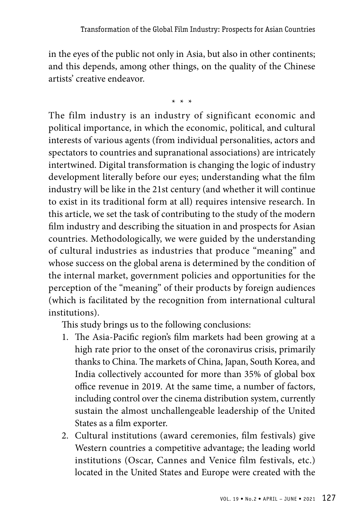in the eyes of the public not only in Asia, but also in other continents; and this depends, among other things, on the quality of the Chinese artists' creative endeavor.

\* \* \*

The film industry is an industry of significant economic and political importance, in which the economic, political, and cultural interests of various agents (from individual personalities, actors and spectators to countries and supranational associations) are intricately intertwined. Digital transformation is changing the logic of industry development literally before our eyes; understanding what the film industry will be like in the 21st century (and whether it will continue to exist in its traditional form at all) requires intensive research. In this article, we set the task of contributing to the study of the modern film industry and describing the situation in and prospects for Asian countries. Methodologically, we were guided by the understanding of cultural industries as industries that produce "meaning" and whose success on the global arena is determined by the condition of the internal market, government policies and opportunities for the perception of the "meaning" of their products by foreign audiences (which is facilitated by the recognition from international cultural institutions).

This study brings us to the following conclusions:

- 1. The Asia-Pacific region's film markets had been growing at a high rate prior to the onset of the coronavirus crisis, primarily thanks to China. The markets of China, Japan, South Korea, and India collectively accounted for more than 35% of global box office revenue in 2019. At the same time, a number of factors, including control over the cinema distribution system, currently sustain the almost unchallengeable leadership of the United States as a film exporter.
- 2. Cultural institutions (award ceremonies, film festivals) give Western countries a competitive advantage; the leading world institutions (Oscar, Cannes and Venice film festivals, etc.) located in the United States and Europe were created with the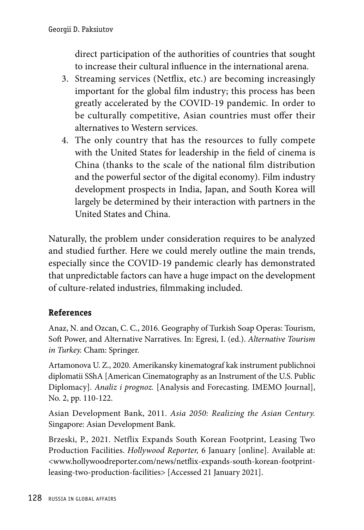direct participation of the authorities of countries that sought to increase their cultural influence in the international arena.

- 3. Streaming services (Netflix, etc.) are becoming increasingly important for the global film industry; this process has been greatly accelerated by the COVID-19 pandemic. In order to be culturally competitive, Asian countries must offer their alternatives to Western services.
- 4. The only country that has the resources to fully compete with the United States for leadership in the field of cinema is China (thanks to the scale of the national film distribution and the powerful sector of the digital economy). Film industry development prospects in India, Japan, and South Korea will largely be determined by their interaction with partners in the United States and China.

Naturally, the problem under consideration requires to be analyzed and studied further. Here we could merely outline the main trends, especially since the COVID-19 pandemic clearly has demonstrated that unpredictable factors can have a huge impact on the development of culture-related industries, filmmaking included.

# **References**

Anaz, N. and Ozcan, C. C., 2016. Geography of Turkish Soap Operas: Tourism, Soft Power, and Alternative Narratives. In: Egresi, I. (ed.). *Alternative Tourism in Turkey.* Cham: Springer.

Artamonova U. Z., 2020. Amerikansky kinematograf kak instrument publichnoi diplomatii SShA [American Cinematography as an Instrument of the U.S. Public Diplomacy]. *Analiz i prognoz.* [Analysis and Forecasting. IMEMO Journal], No. 2, pp. 110-122.

Asian Development Bank, 2011. *Asia 2050: Realizing the Asian Century.*  Singapore: Asian Development Bank.

Brzeski, P., 2021. Netflix Expands South Korean Footprint, Leasing Two Production Facilities. *Hollywood Reporter,* 6 January [online]. Available at: <www.hollywoodreporter.com/news/netflix-expands-south-korean-footprintleasing-two-production-facilities> [Accessed 21 January 2021].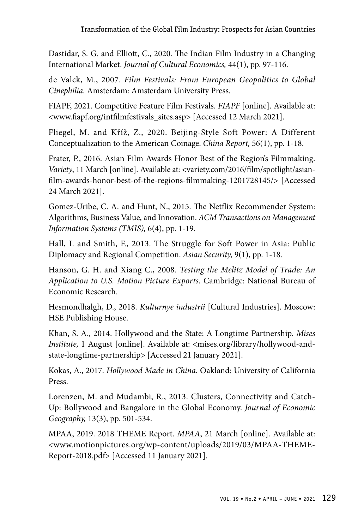Dastidar, S. G. and Elliott, C., 2020. The Indian Film Industry in a Changing International Market. *Journal of Cultural Economics,* 44(1), pp. 97-116.

de Valck, M., 2007. *Film Festivals: From European Geopolitics to Global Cinephilia.* Amsterdam: Amsterdam University Press.

FIAPF, 2021. Competitive Feature Film Festivals. *FIAPF* [online]. Available at: <www.fiapf.org/intfilmfestivals\_sites.asp> [Accessed 12 March 2021].

Fliegel, M. and Kříž, Z., 2020. Beijing-Style Soft Power: A Different Conceptualization to the American Coinage. *China Report,* 56(1), pp. 1-18.

Frater, P., 2016. Asian Film Awards Honor Best of the Region's Filmmaking. *Variety*, 11 March [online]. Available at: <variety.com/2016/film/spotlight/asianfilm-awards-honor-best-of-the-regions-filmmaking-1201728145/> [Accessed 24 March 2021].

Gomez-Uribe, C. A. and Hunt, N., 2015. The Netflix Recommender System: Algorithms, Business Value, and Innovation. *ACM Transactions on Management Information Systems (TMIS),* 6(4), pp. 1-19.

Hall, I. and Smith, F., 2013. The Struggle for Soft Power in Asia: Public Diplomacy and Regional Competition. *Asian Security,* 9(1), pp. 1-18.

Hanson, G. H. and Xiang C., 2008. *Testing the Melitz Model of Trade: An Application to U.S. Motion Picture Exports.* Cambridge: National Bureau of Economic Research.

Hesmondhalgh, D., 2018. *Kulturnye industrii* [Cultural Industries]. Moscow: HSE Publishing House.

Khan, S. A., 2014. Hollywood and the State: A Longtime Partnership. *Mises Institute,* 1 August [online]. Available at: <mises.org/library/hollywood-andstate-longtime-partnership> [Accessed 21 January 2021].

Kokas, A., 2017. *Hollywood Made in China.* Oakland: University of California Press.

Lorenzen, M. and Mudambi, R., 2013. Clusters, Connectivity and Catch-Up: Bollywood and Bangalore in the Global Economy. *Journal of Economic Geography,* 13(3), pp. 501-534.

MPAA, 2019. 2018 THEME Report. *MPAA*, 21 March [online]. Available at: <www.motionpictures.org/wp-content/uploads/2019/03/MPAA-THEME-Report-2018.pdf> [Accessed 11 January 2021].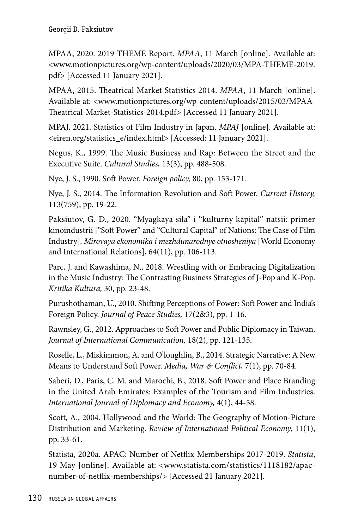MPAA, 2020. 2019 THEME Report. *MPAA*, 11 March [online]. Available at: <www.motionpictures.org/wp-content/uploads/2020/03/MPA-THEME-2019. pdf> [Accessed 11 January 2021].

MPAA, 2015. Theatrical Market Statistics 2014. *MPAA*, 11 March [online]. Available at: <www.motionpictures.org/wp-content/uploads/2015/03/MPAA-Theatrical-Market-Statistics-2014.pdf> [Accessed 11 January 2021].

MPAJ, 2021. Statistics of Film Industry in Japan. *MPAJ* [online]. Available at: <eiren.org/statistics\_e/index.html> [Accessed: 11 January 2021].

Negus, K., 1999. The Music Business and Rap: Between the Street and the Executive Suite. *Cultural Studies,* 13(3), pp. 488-508.

Nye, J. S., 1990. Soft Power. *Foreign policy,* 80, pp. 153-171.

Nye, J. S., 2014. The Information Revolution and Soft Power. *Current History,*  113(759), pp. 19-22.

Paksiutov, G. D., 2020. "Myagkaya sila" i "kulturny kapital" natsii: primer kinoindustrii ["Soft Power" and "Cultural Capital" of Nations: The Case of Film Industry]. *Mirovaya ekonomika i mezhdunarodnye otnosheniya* [World Economy and International Relations], 64(11), pp. 106-113.

Parc, J. and Kawashima, N., 2018. Wrestling with or Embracing Digitalization in the Music Industry: The Contrasting Business Strategies of J-Pop and K-Pop. *Kritika Kultura,* 30, pp. 23-48.

Purushothaman, U., 2010. Shifting Perceptions of Power: Soft Power and India's Foreign Policy. *Journal of Peace Studies,* 17(2&3), pp. 1-16.

Rawnsley, G., 2012. Approaches to Soft Power and Public Diplomacy in Taiwan. *Journal of International Communication,* 18(2), pp. 121-135.

Roselle, L., Miskimmon, A. and O'loughlin, B., 2014. Strategic Narrative: A New Means to Understand Soft Power. *Media, War & Conflict,* 7(1), pp. 70-84.

Saberi, D., Paris, C. M. and Marochi, B., 2018. Soft Power and Place Branding in the United Arab Emirates: Examples of the Tourism and Film Industries. *International Journal of Diplomacy and Economy,* 4(1), 44-58.

Scott, A., 2004. Hollywood and the World: The Geography of Motion-Picture Distribution and Marketing. *Review of International Political Economy,* 11(1), pp. 33-61.

Statista, 2020a. APAC: Number of Netflix Memberships 2017-2019. *Statista*, 19 May [online]. Available at: <www.statista.com/statistics/1118182/apacnumber-of-netflix-memberships/> [Accessed 21 January 2021].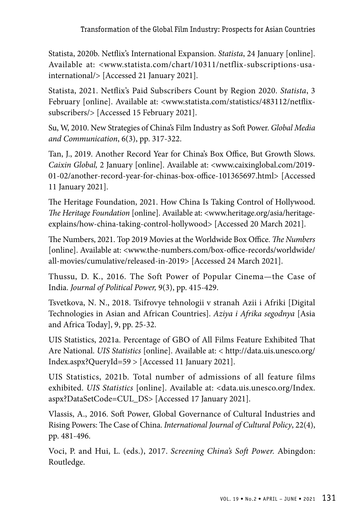Statista, 2020b. Netflix's International Expansion. *Statista*, 24 January [online]. Available at: <www.statista.com/chart/10311/netflix-subscriptions-usainternational/> [Accessed 21 January 2021].

Statista, 2021. Netflix's Paid Subscribers Count by Region 2020. *Statista*, 3 February [online]. Available at: <www.statista.com/statistics/483112/netflixsubscribers/> [Accessed 15 February 2021].

Su, W, 2010. New Strategies of China's Film Industry as Soft Power. *Global Media and Communication*, 6(3), pp. 317-322.

Tan, J., 2019. Another Record Year for China's Box Office, But Growth Slows. *Caixin Global,* 2 January [online]. Available at: <www.caixinglobal.com/2019- 01-02/another-record-year-for-chinas-box-office-101365697.html> [Accessed 11 January 2021].

The Heritage Foundation, 2021. How China Is Taking Control of Hollywood. *The Heritage Foundation* [online]. Available at: <www.heritage.org/asia/heritageexplains/how-china-taking-control-hollywood> [Accessed 20 March 2021].

The Numbers, 2021. Top 2019 Movies at the Worldwide Box Office. *The Numbers*  [online]. Available at: <www.the-numbers.com/box-office-records/worldwide/ all-movies/cumulative/released-in-2019> [Accessed 24 March 2021].

Thussu, D. K., 2016. The Soft Power of Popular Cinema—the Case of India. *Journal of Political Power,* 9(3), pp. 415-429.

Tsvetkova, N. N., 2018. Tsifrovye tehnologii v stranah Azii i Afriki [Digital Technologies in Asian and African Countries]. *Aziya i Afrika segodnya* [Asia and Africa Today], 9, pp. 25-32.

UIS Statistics, 2021a. Percentage of GBO of All Films Feature Exhibited That Are National. *UIS Statistics* [online]. Available at: < http://data.uis.unesco.org/ Index.aspx?QueryId=59 > [Accessed 11 January 2021].

UIS Statistics, 2021b. Total number of admissions of all feature films exhibited. *UIS Statistics* [online]. Available at: <data.uis.unesco.org/Index. aspx?DataSetCode=CUL\_DS> [Accessed 17 January 2021].

Vlassis, A., 2016. Soft Power, Global Governance of Cultural Industries and Rising Powers: The Case of China. *International Journal of Cultural Policy*, 22(4), pp. 481-496.

Voci, P. and Hui, L. (eds.), 2017. *Screening China's Soft Power.* Abingdon: Routledge.